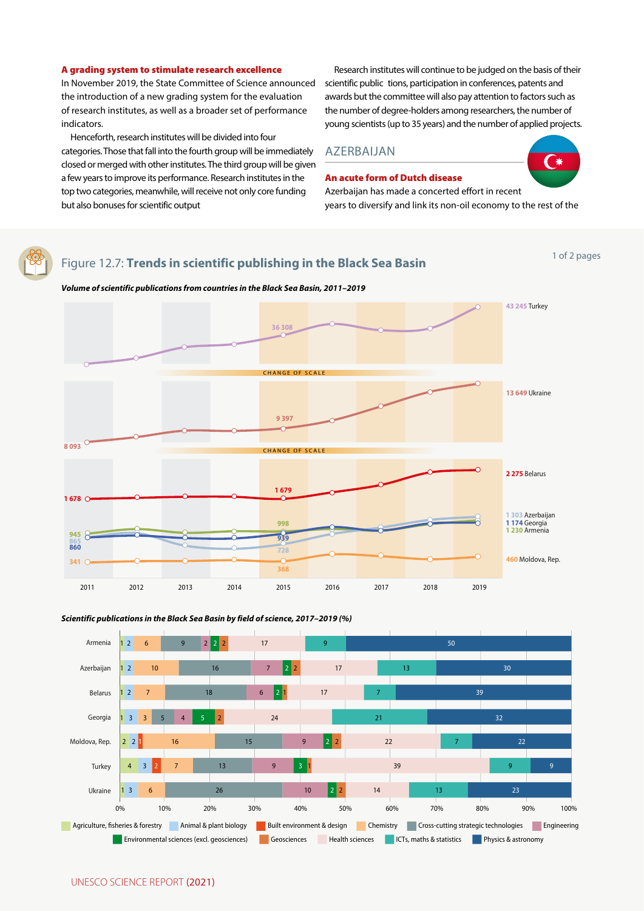## Figure 12.7: **Trends in scientific publishing in the Black Sea Basin**

## *Volume of scientific publications from countries in the Black Sea Basin, 2011–2019*